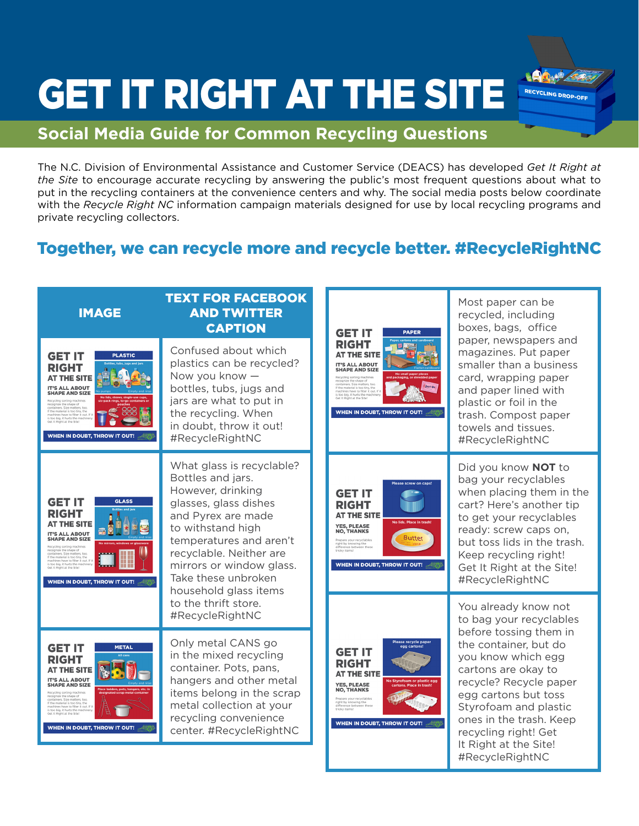## GET IT RIGHT AT THE SITE

## **Social Media Guide for Common Recycling Questions**

The N.C. Division of Environmental Assistance and Customer Service (DEACS) has developed *Get It Right at the Site* to encourage accurate recycling by answering the public's most frequent questions about what to put in the recycling containers at the convenience centers and why. The social media posts below coordinate with the *Recycle Right NC* information campaign materials designed for use by local recycling programs and private recycling collectors.

RECYCLING DROP-OFF

## Together, we can recycle more and recycle better. #RecycleRightNC

| <b>IMAGE</b>                                                                                                                                                                                                                                                                                                                                                                                             | <b>TEXT FOR FACEBOOK</b><br><b>AND TWITTER</b><br><b>CAPTION</b>                                                                                                                                                                                                          | <b>GET IT</b><br><b>PAPER</b>                                                                                                                                                                                                                                                                                                                       | Most paper can be<br>recycled, including<br>boxes, bags, office                                                                                                                                                                                                                                                           |
|----------------------------------------------------------------------------------------------------------------------------------------------------------------------------------------------------------------------------------------------------------------------------------------------------------------------------------------------------------------------------------------------------------|---------------------------------------------------------------------------------------------------------------------------------------------------------------------------------------------------------------------------------------------------------------------------|-----------------------------------------------------------------------------------------------------------------------------------------------------------------------------------------------------------------------------------------------------------------------------------------------------------------------------------------------------|---------------------------------------------------------------------------------------------------------------------------------------------------------------------------------------------------------------------------------------------------------------------------------------------------------------------------|
| <b>GET IT</b><br><b>PLASTIC</b><br><b>RIGHT</b><br><b>AT THE SITE</b><br><b>IT'S ALL ABOUT</b><br><b>SHAPE AND SIZE</b><br>Recycling sorting machines<br>recognize the shape of<br>containers. Size matters, too.<br>If the material is too tiny, the<br>machines have to filter it out. If if<br>is too big, it hurts the mach<br>Get It Right at the Site<br>WHEN IN DOUBT, THROW IT OUT!              | Confused about which<br>plastics can be recycled?<br>Now you know -<br>bottles, tubs, jugs and<br>jars are what to put in<br>the recycling. When<br>in doubt, throw it out!<br>#RecycleRightNC                                                                            | <b>RIGHT</b><br><b>AT THE SITE</b><br><b>IT'S ALL ABOUT</b><br><b>SHAPE AND SIZE</b><br>Recycling sorting machines<br>recognize the shape of<br>containers. Size matters, too.<br>If the material is too tiny, the<br>machines have to filter it out. If<br>is too big, it hurts the m<br>Get It Right at the Site!<br>WHEN IN DOUBT, THROW IT OUT! | paper, newspapers and<br>magazines. Put paper<br>smaller than a business<br>card, wrapping paper<br>and paper lined with<br>plastic or foil in the<br>trash. Compost paper<br>towels and tissues.<br>#RecycleRightNC                                                                                                      |
| <b>GET IT</b><br><b>GLASS</b><br><b>RIGHT</b><br><b>AT THE SITE</b><br><b>IT'S ALL ABOUT</b><br><b>SHAPE AND SIZE</b><br>Recycling sorting machines<br>recognize the shape of<br>containers. Size matters, too.<br>outcomers, size inaccers, coordinate<br>of the machines have to filter it out.<br>Is too big, it hurts the machine<br>Get It Right at the Site<br><b>WHEN IN DOUBT, THROW IT OUT!</b> | What glass is recyclable?<br>Bottles and jars.<br>However, drinking<br>glasses, glass dishes<br>and Pyrex are made<br>to withstand high<br>temperatures and aren't<br>recyclable. Neither are<br>mirrors or window glass.<br>Take these unbroken<br>household glass items | Please screw on caps<br><b>GET IT</b><br><b>RIGHT</b><br><b>AT THE SITE</b><br>No lids. Place in trash<br><b>YES, PLEASE</b><br><b>NO. THANKS</b><br><b>Butter</b><br>Prepare your recyclables<br>right by knowing the<br>difference between these<br>tricky items!<br>WHEN IN DOUBT, THROW IT OUT!                                                 | Did you know NOT to<br>bag your recyclables<br>when placing them in the<br>cart? Here's another tip<br>to get your recyclables<br>ready: screw caps on,<br>but toss lids in the trash.<br>Keep recycling right!<br>Get It Right at the Site!<br>#RecycleRightNC                                                           |
|                                                                                                                                                                                                                                                                                                                                                                                                          | to the thrift store.<br>#RecycleRightNC                                                                                                                                                                                                                                   | Please recycle paper<br>egg cartons!<br><b>GET IT</b><br><b>RIGHT</b><br><b>AT THE SITE</b><br>No Styrofoam or plastic egg<br><b>YES, PLEASE</b><br>ns. Place in t<br><b>NO, THANKS</b><br>Prepare your recyclables<br>right by knowing the<br>difference between these<br>tricky items!<br>WHEN IN DOUBT, THROW IT OUT!                            | You already know not<br>to bag your recyclables<br>before tossing them in<br>the container, but do<br>you know which egg<br>cartons are okay to<br>recycle? Recycle paper<br>egg cartons but toss<br>Styrofoam and plastic<br>ones in the trash. Keep<br>recycling right! Get<br>It Right at the Site!<br>#RecycleRightNC |
| <b>GET IT</b><br><b>METAL</b><br>RIGHT<br><b>AT THE SITE</b><br><b>IT'S ALL ABOUT</b><br><b>SHAPE AND SIZE</b><br>Recycling sorting machines<br>recognize the shape of<br>containers. Size matters, too.<br>If the material is too tiny, the<br>machines have to filter it out. If it<br>is too big. it hurts the mach<br>Tot It Dight at the Site<br>WHEN IN DOUBT, THROW IT OUT!                       | Only metal CANS go<br>in the mixed recycling<br>container. Pots, pans,<br>hangers and other metal<br>items belong in the scrap<br>metal collection at your<br>recycling convenience<br>center. #RecycleRightNC                                                            |                                                                                                                                                                                                                                                                                                                                                     |                                                                                                                                                                                                                                                                                                                           |